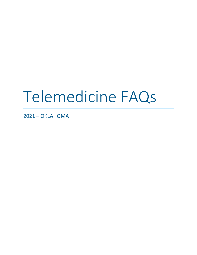# Telemedicine FAQs

2021 - OKLAHOMA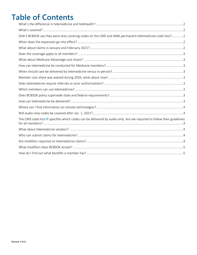## **Table of Contents**

| Didn't BCBSOK say they were only covering codes on the CMS and AMA permanent telemedicine code lists?2                           |  |
|----------------------------------------------------------------------------------------------------------------------------------|--|
|                                                                                                                                  |  |
|                                                                                                                                  |  |
|                                                                                                                                  |  |
|                                                                                                                                  |  |
|                                                                                                                                  |  |
|                                                                                                                                  |  |
|                                                                                                                                  |  |
|                                                                                                                                  |  |
|                                                                                                                                  |  |
|                                                                                                                                  |  |
|                                                                                                                                  |  |
|                                                                                                                                  |  |
|                                                                                                                                  |  |
| The CMS code lists <b>&amp;</b> specifies which codes can be delivered by audio-only. Are we required to follow their guidelines |  |
|                                                                                                                                  |  |
|                                                                                                                                  |  |
|                                                                                                                                  |  |
|                                                                                                                                  |  |
|                                                                                                                                  |  |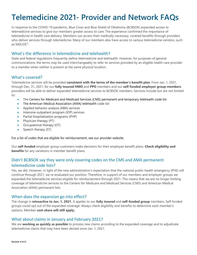# **Telemedicine 2021- Provider and Network FAQs**

In response to the COVID-19 pandemic, Blue Cross and Blue Shield of Oklahoma (BCBSOK) expanded access to telemedicine services to give our members greater access to care. The experience confirmed the importance of telemedicine in health care delivery. Members can access their medically necessary, covered benefits through providers who deliver services through telemedicine. Many of our members also have access to various telemedicine vendors, such as MDLIVE®.

#### <span id="page-2-0"></span>What's the difference in telemedicine and telehealth?

State and federal regulations frequently define telemedicine and telehealth. However, for purposes of general communications, the terms may be used interchangeably to refer to services provided by an eligible health care provider to a member when neither is present at the same physical location.

#### <span id="page-2-1"></span>What's covered?

Telemedicine services will be provided **consistent with the terms of the member's benefit plan**. From Jan. 1, 2021, through Dec. 31, 2021, for our **fully insured HMO** and **PPO** members and our **self-funded employer group members**, providers will be able to deliver expanded telemedicine services to BCBSOK members. Services include but are not limited to:

- The Centers for Medicare and Medicaid Services (CMS) permanent and temporary telehealth code list
- The American Medical Association (AMA) telehealth code list
- Applied behavior analysis (ABA) services
- Intensive outpatient program (IOP) services
- Partial hospitalization programs (PHP)
- Physician therapy (PT)
- Occupational therapy (OT)
- Speech therapy (ST)

For a list of codes that are eligible for reimbursement, see our provider website.

Our **self-funded** employer group customers make decisions for their employee benefit plans. **Check eligibility and benefits** for any variations in member benefit plans.

## <span id="page-2-2"></span>Didn't BCBSOK say they were only covering codes on the CMS and AMA permanent telemedicine code lists?

Yes, we did. However, in light of the new administration's expectation that the national public health emergency (PHE) will continue through 2021, we re-evaluated our position. Therefore, in support of our members and employer groups we expanded the telemedicine services eligible for reimbursement through 2021. This means that we are no longer limiting coverage of telemedicine services to the Centers for Medicare and Medicaid Services (CMS) and American Medical Association (AMA) permanent lists.

#### <span id="page-2-3"></span>When does the expansion go into effect?

The change is **retroactive to Jan. 1, 2021.** It applies to our **fully insured** and **self-funded group** members**.** Self-funded groups could opt out of the expanded coverage. Always check eligibility and benefits to determine each member's options. Member **cost-share will still apply.**

#### <span id="page-2-4"></span>What about claims in January and February 2021?

We are **working as quickly as possible** to process new claims according to the expanded coverage and to adjudicate telemedicine claims that may have been denied since Jan. 1, 2021.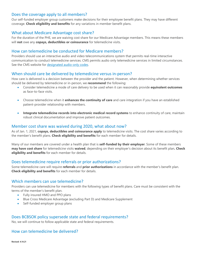#### <span id="page-3-0"></span>Does the coverage apply to all members?

Our self-funded employer group customers make decisions for their employee benefit plans. They may have different coverage. **Check eligibility and benefits** for any variations in member benefit plans.

#### <span id="page-3-1"></span>What about Medicare Advantage cost share?

For the duration of the PHE, we are waiving cost share for our Medicare Advantage members. This means these members will **not** owe any **copays, deductibles or coinsurance** for telemedicine visits.

#### <span id="page-3-2"></span>How can telemedicine be conducted for Medicare members?

Providers should use an interactive audio and video telecommunications system that permits real-time interactive communication to conduct telemedicine services. CMS permits audio only telemedicine services in limited circumstances. See the CMS website for [designated audio-only codes.](https://www.cms.gov/Medicare/Medicare-General-Information/Telehealth/Telehealth-Codes)

#### <span id="page-3-3"></span>When should care be delivered by telemedicine versus in-person?

How care is delivered is a decision between the provider and the patient. However, when determining whether services should be delivered by telemedicine or in-person, we **recommend** the following:

- Consider telemedicine a mode of care delivery to be used when it can reasonably provide **equivalent outcomes** as face-to-face visits.
- Choose telemedicine when it **enhances the continuity of care** and care integration if you have an established patient-provider relationship with members.
- **Integrate telemedicine records into electronic medical record systems** to enhance continuity of care, maintain robust clinical documentation and improve patient outcomes.

#### <span id="page-3-4"></span>Member cost share was waived during 2020, what about now?

As of Jan. 1, 2021, **copays, deductibles and coinsurance apply** to telemedicine visits. The cost share varies according to the member's benefit plans. **Check eligibility and benefits** for each member for details.

Many of our members are covered under a health plan that is **self-funded by their employer**. Some of these members **may have cost share** for telemedicine visits **waived**, depending on their employer's decision about its benefit plan**. Check eligibility and benefits** for each member for details.

#### <span id="page-3-5"></span>Does telemedicine require referrals or prior authorizations?

Some telemedicine care will require **referrals** and **prior authorizations** in accordance with the member's benefit plan. **Check eligibility and benefits** for each member for details.

#### <span id="page-3-6"></span>Which members can use telemedicine?

Providers can use telemedicine for members with the following types of benefit plans. Care must be consistent with the terms of the member's benefit plan.

- Fully insured HMO and PPO plans
- Blue Cross Medicare Advantage (excluding Part D) and Medicare Supplement
- Self-funded employer group plans

#### <span id="page-3-7"></span>Does BCBSOK policy supersede state and federal requirements?

No, we will continue to follow applicable state and federal requirements.

#### <span id="page-3-8"></span>How can telemedicine be delivered?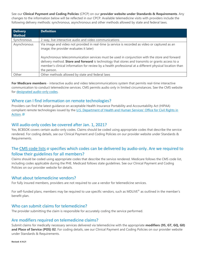See our **Clinical Payment and Coding Policies** (CPCP) on our **provider website under Standards & Requirements**. Any

changes to the information below will be reflected in our CPCP. Available telemedicine visits with providers include the following delivery methods: synchronous, asynchronous and other methods allowed by state and federal laws.

| <b>Delivery</b><br><b>Method</b> | <b>Definition</b>                                                                                                                                                                                                                                                                                                                                                                                                                                                          |
|----------------------------------|----------------------------------------------------------------------------------------------------------------------------------------------------------------------------------------------------------------------------------------------------------------------------------------------------------------------------------------------------------------------------------------------------------------------------------------------------------------------------|
| Synchronous                      | 2-way, live interactive audio and video communications                                                                                                                                                                                                                                                                                                                                                                                                                     |
| Asynchronous                     | Via image and video not provided in real-time (a service is recorded as video or captured as an<br>image; the provider evaluates it later)<br>Asynchronous telecommunication services must be used in conjunction with the store and forward<br>delivery method. Store and forward is technology that stores and transmits or grants access to a<br>member's clinical information for review by a health professional at a different physical location than<br>the person. |
| Other                            | Other methods allowed by state and federal laws                                                                                                                                                                                                                                                                                                                                                                                                                            |

**For Medicare members** - interactive audio and video telecommunications system that permits real-time interactive communication to conduct telemedicine services. CMS permits audio only in limited circumstances. See the CMS website for [designated audio-only codes.](https://www.cms.gov/Medicare/Medicare-General-Information/Telehealth/Telehealth-Codes)

#### <span id="page-4-0"></span>Where can I find information on remote technologies?

Providers can find the latest guidance on acceptable Health Insurance Portability and Accountability Act (HIPAA) compliant remote technologies issued by the [U.S. Department of Health and Human Services' Office for Civil Rights in](https://www.hhs.gov/ocr/index.html)  [Action.](https://www.hhs.gov/ocr/index.html) G

#### <span id="page-4-1"></span>Will audio-only codes be covered after Jan. 1, 2021?

Yes, BCBSOK covers certain audio-only codes. Claims should be coded using appropriate codes that describe the service rendered. For coding details, see our Clinical Payment and Coding Policies on our provider website under Standards & Requirements.

### <span id="page-4-2"></span>The [CMS code lists](https://www.cms.gov/files/zip/covid-19-telehealth-services-phe.zip) **a** specifies which codes can be delivered by audio-only. Are we required to follow their guidelines for all members?

Claims should be coded using appropriate codes that describe the service rendered. Medicare follows the CMS code list, including codes applicable during the PHE. Medicaid follows state guidelines. See our Clinical Payment and Coding Policies on our provider website for details.

#### <span id="page-4-3"></span>What about telemedicine vendors?

For fully insured members, providers are not required to use a vendor for telemedicine services.

For self-funded plans, members may be required to use specific vendors, such as MDLIVE® as outlined in the member's benefit plan.

#### <span id="page-4-4"></span>Who can submit claims for telemedicine?

The provider submitting the claim is responsible for accurately coding the service performed.

#### <span id="page-4-5"></span>Are modifiers required on telemedicine claims?

Submit claims for medically necessary services delivered via telemedicine with the appropriate **modifiers (95, GT, GQ, G0) and Place of Service (POS) 02**. For coding details, see our Clinical Payment and Coding Policies on our provider website under Standards & Requirements.